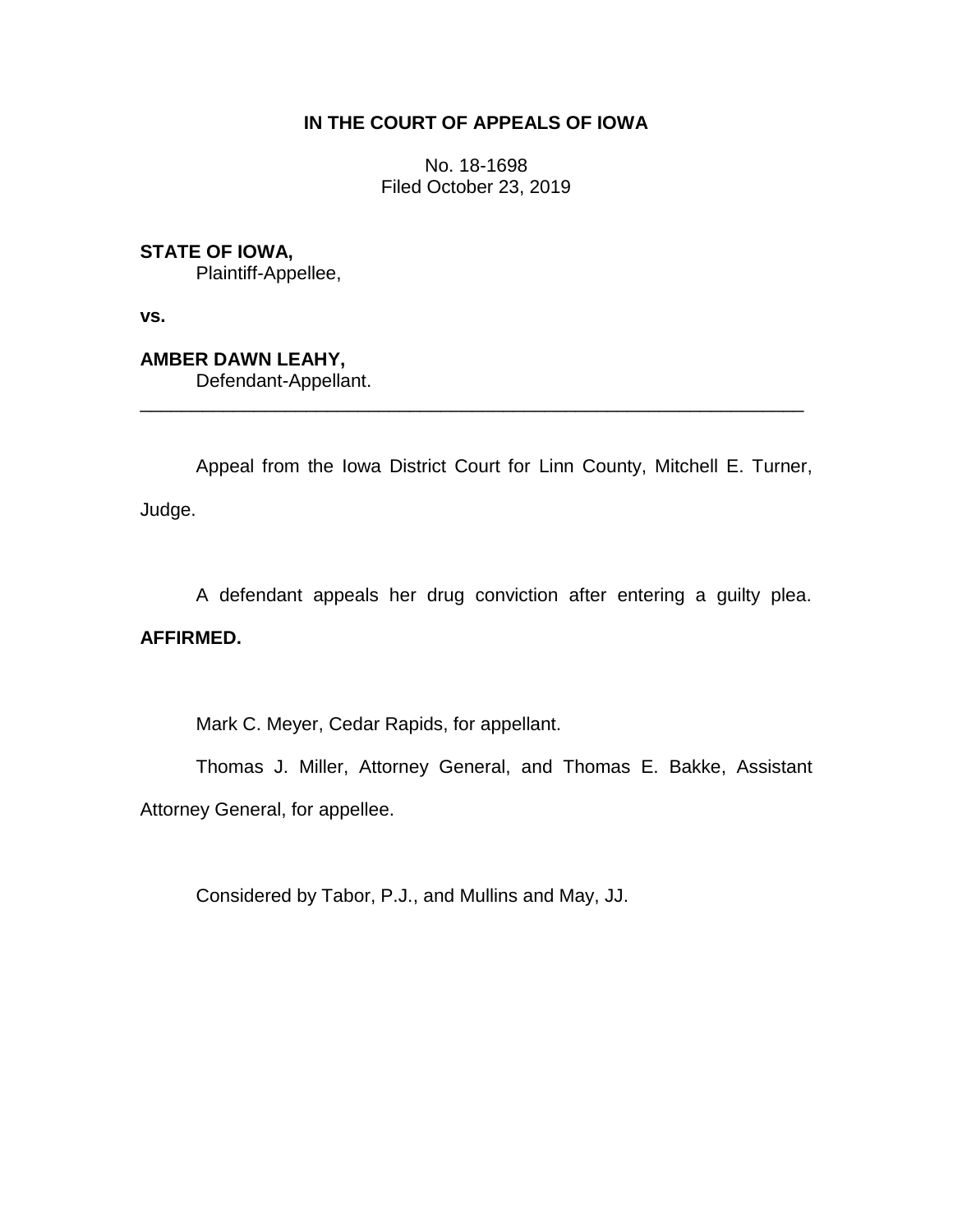## **IN THE COURT OF APPEALS OF IOWA**

No. 18-1698 Filed October 23, 2019

**STATE OF IOWA,**

Plaintiff-Appellee,

**vs.**

**AMBER DAWN LEAHY,** Defendant-Appellant.

Appeal from the Iowa District Court for Linn County, Mitchell E. Turner, Judge.

\_\_\_\_\_\_\_\_\_\_\_\_\_\_\_\_\_\_\_\_\_\_\_\_\_\_\_\_\_\_\_\_\_\_\_\_\_\_\_\_\_\_\_\_\_\_\_\_\_\_\_\_\_\_\_\_\_\_\_\_\_\_\_\_

A defendant appeals her drug conviction after entering a guilty plea.

## **AFFIRMED.**

Mark C. Meyer, Cedar Rapids, for appellant.

Thomas J. Miller, Attorney General, and Thomas E. Bakke, Assistant Attorney General, for appellee.

Considered by Tabor, P.J., and Mullins and May, JJ.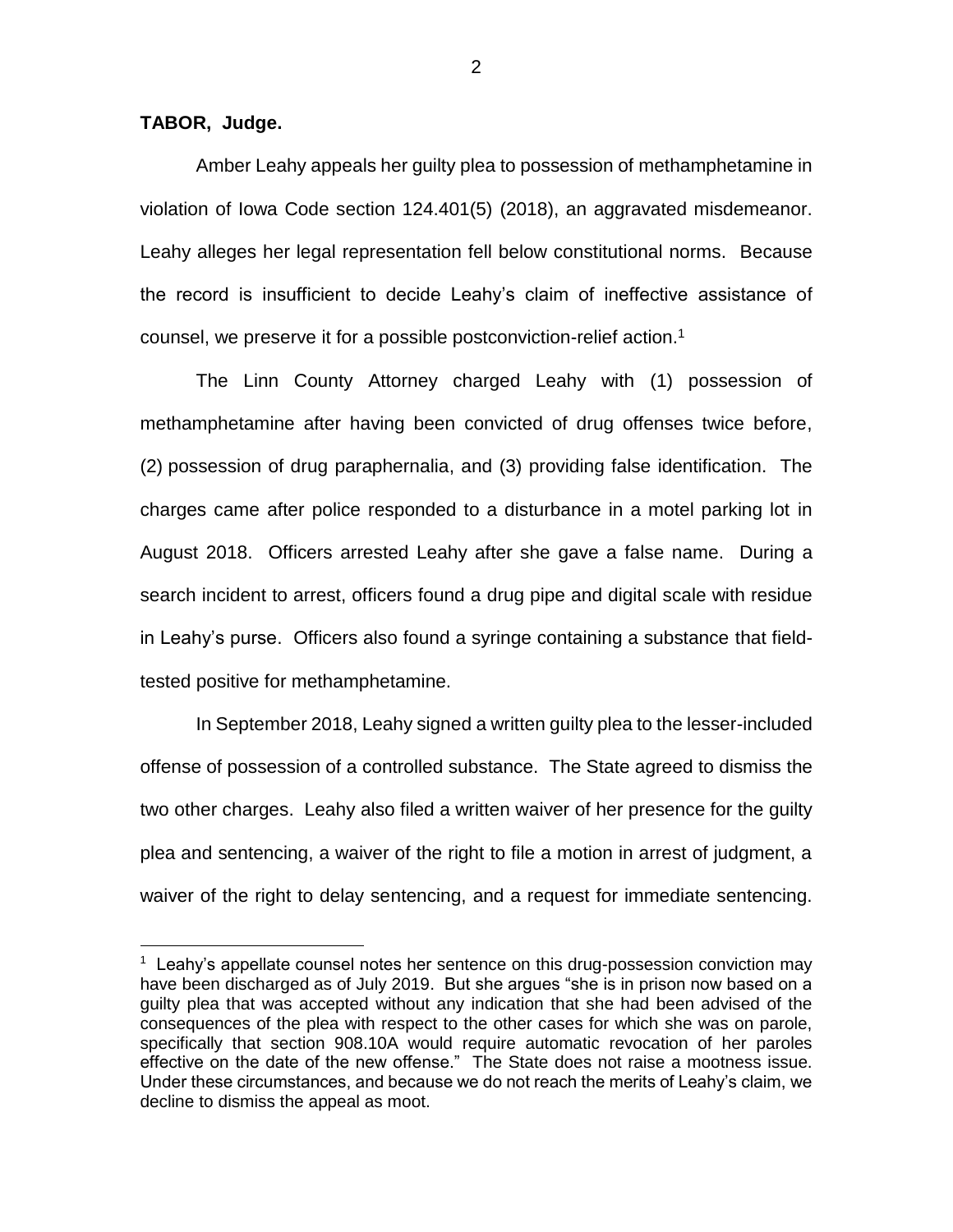**TABOR, Judge.**

 $\overline{a}$ 

Amber Leahy appeals her guilty plea to possession of methamphetamine in violation of Iowa Code section 124.401(5) (2018), an aggravated misdemeanor. Leahy alleges her legal representation fell below constitutional norms. Because the record is insufficient to decide Leahy's claim of ineffective assistance of counsel, we preserve it for a possible postconviction-relief action.<sup>1</sup>

The Linn County Attorney charged Leahy with (1) possession of methamphetamine after having been convicted of drug offenses twice before, (2) possession of drug paraphernalia, and (3) providing false identification. The charges came after police responded to a disturbance in a motel parking lot in August 2018. Officers arrested Leahy after she gave a false name. During a search incident to arrest, officers found a drug pipe and digital scale with residue in Leahy's purse. Officers also found a syringe containing a substance that fieldtested positive for methamphetamine.

In September 2018, Leahy signed a written guilty plea to the lesser-included offense of possession of a controlled substance. The State agreed to dismiss the two other charges. Leahy also filed a written waiver of her presence for the guilty plea and sentencing, a waiver of the right to file a motion in arrest of judgment, a waiver of the right to delay sentencing, and a request for immediate sentencing.

2

 $1$  Leahy's appellate counsel notes her sentence on this drug-possession conviction may have been discharged as of July 2019. But she argues "she is in prison now based on a guilty plea that was accepted without any indication that she had been advised of the consequences of the plea with respect to the other cases for which she was on parole, specifically that section 908.10A would require automatic revocation of her paroles effective on the date of the new offense." The State does not raise a mootness issue. Under these circumstances, and because we do not reach the merits of Leahy's claim, we decline to dismiss the appeal as moot.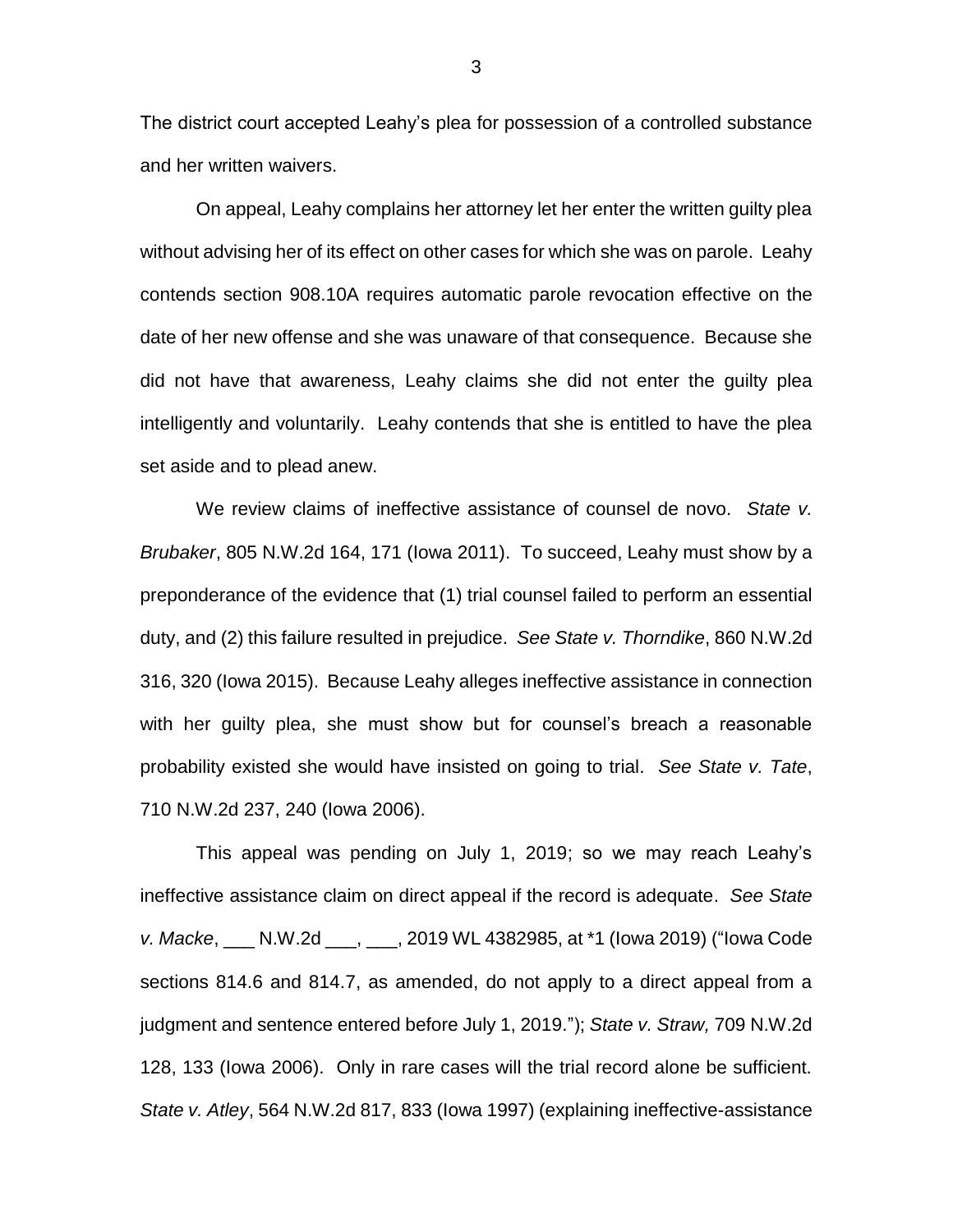The district court accepted Leahy's plea for possession of a controlled substance and her written waivers.

On appeal, Leahy complains her attorney let her enter the written guilty plea without advising her of its effect on other cases for which she was on parole. Leahy contends section 908.10A requires automatic parole revocation effective on the date of her new offense and she was unaware of that consequence. Because she did not have that awareness, Leahy claims she did not enter the guilty plea intelligently and voluntarily. Leahy contends that she is entitled to have the plea set aside and to plead anew.

We review claims of ineffective assistance of counsel de novo. *State v. Brubaker*, 805 N.W.2d 164, 171 (Iowa 2011). To succeed, Leahy must show by a preponderance of the evidence that (1) trial counsel failed to perform an essential duty, and (2) this failure resulted in prejudice. *See State v. Thorndike*, 860 N.W.2d 316, 320 (Iowa 2015). Because Leahy alleges ineffective assistance in connection with her guilty plea, she must show but for counsel's breach a reasonable probability existed she would have insisted on going to trial. *See State v. Tate*, 710 N.W.2d 237, 240 (Iowa 2006).

This appeal was pending on July 1, 2019; so we may reach Leahy's ineffective assistance claim on direct appeal if the record is adequate. *See State v. Macke*, \_\_\_ N.W.2d \_\_\_, \_\_\_, 2019 WL 4382985, at \*1 (Iowa 2019) ("Iowa Code sections 814.6 and 814.7, as amended, do not apply to a direct appeal from a judgment and sentence entered before July 1, 2019."); *State v. Straw,* 709 N.W.2d 128, 133 (Iowa 2006). Only in rare cases will the trial record alone be sufficient. *State v. Atley*, 564 N.W.2d 817, 833 (Iowa 1997) (explaining ineffective-assistance

3